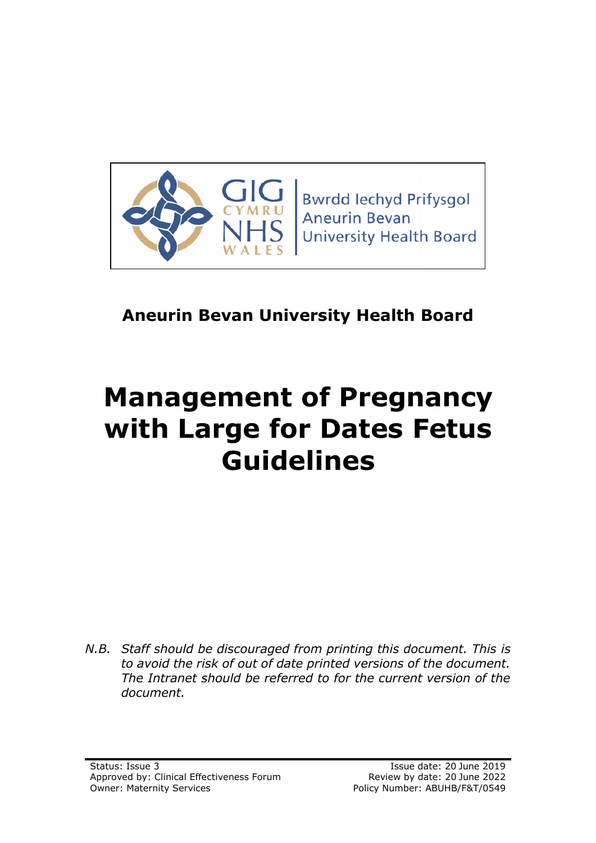

**Bwrdd lechyd Prifysgol Aneurin Bevan University Health Board** 

# **Aneurin Bevan University Health Board**

# **Management of Pregnancy with Large for Dates Fetus Guidelines**

*N.B. Staff should be discouraged from printing this document. This is to avoid the risk of out of date printed versions of the document. The Intranet should be referred to for the current version of the document.*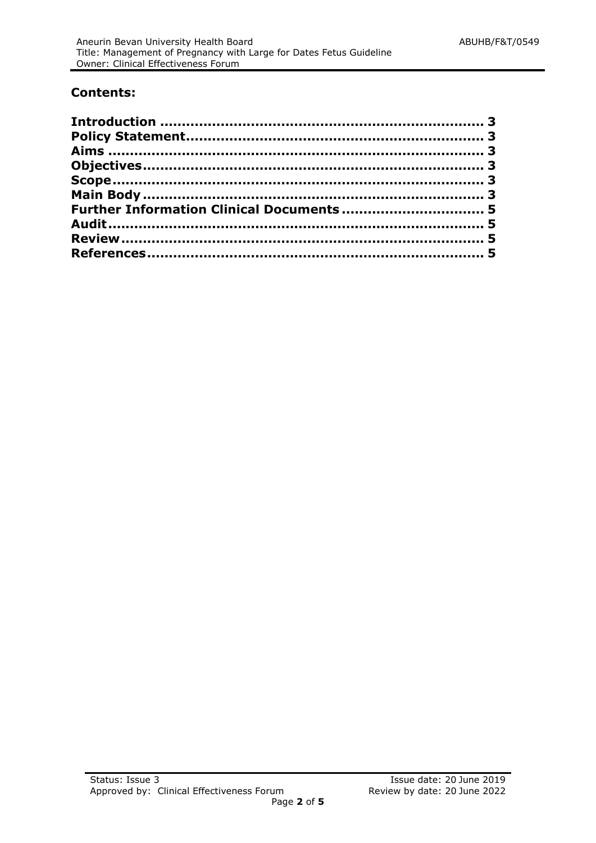## **Contents:**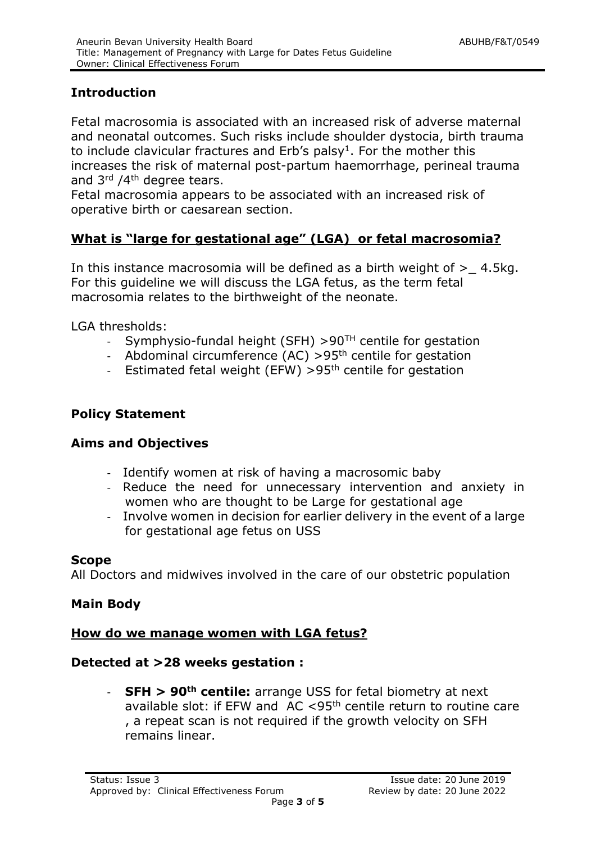# <span id="page-2-0"></span>**Introduction**

Fetal macrosomia is associated with an increased risk of adverse maternal and neonatal outcomes. Such risks include shoulder dystocia, birth trauma to include clavicular fractures and  $Erb's$  palsy<sup>1</sup>. For the mother this increases the risk of maternal post-partum haemorrhage, perineal trauma and 3<sup>rd</sup> /4<sup>th</sup> degree tears.

Fetal macrosomia appears to be associated with an increased risk of operative birth or caesarean section.

# **What is "large for gestational age" (LGA) or fetal macrosomia?**

In this instance macrosomia will be defined as a birth weight of  $>$  4.5kg. For this guideline we will discuss the LGA fetus, as the term fetal macrosomia relates to the birthweight of the neonate.

LGA thresholds:

- Symphysio-fundal height (SFH)  $> 90<sup>TH</sup>$  centile for gestation
- Abdominal circumference  $(AC)$  >95<sup>th</sup> centile for gestation
- <span id="page-2-1"></span>- Estimated fetal weight (EFW)  $>95<sup>th</sup>$  centile for gestation

## **Policy Statement**

#### <span id="page-2-2"></span>**Aims and Objectives**

- Identify women at risk of having a macrosomic baby
- Reduce the need for unnecessary intervention and anxiety in women who are thought to be Large for gestational age
- Involve women in decision for earlier delivery in the event of a large for gestational age fetus on USS

#### <span id="page-2-3"></span>**Scope**

All Doctors and midwives involved in the care of our obstetric population

#### <span id="page-2-4"></span>**Main Body**

#### **How do we manage women with LGA fetus?**

#### **Detected at >28 weeks gestation :**

- **SFH > 90th centile:** arrange USS for fetal biometry at next available slot: if EFW and  $AC < 95<sup>th</sup>$  centile return to routine care , a repeat scan is not required if the growth velocity on SFH remains linear.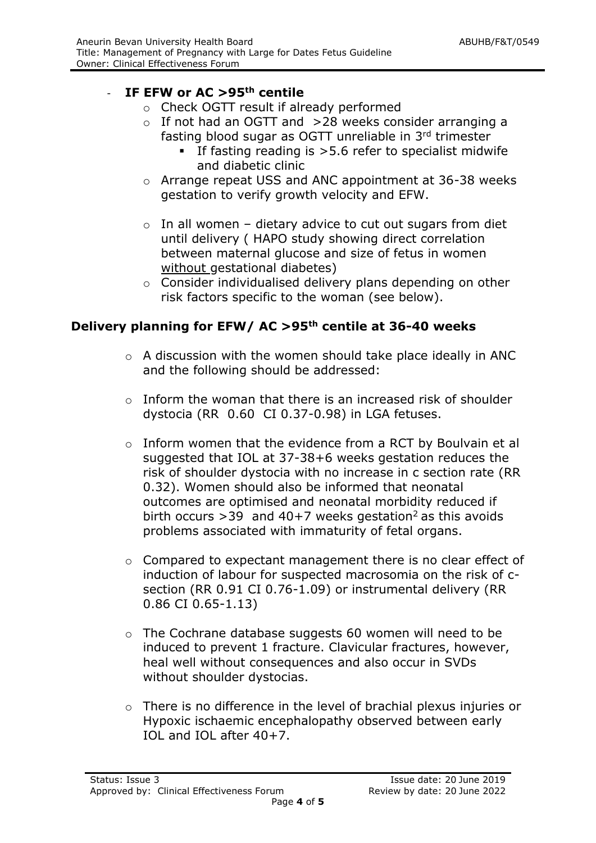# - **IF EFW or AC >95th centile**

- o Check OGTT result if already performed
- $\circ$  If not had an OGTT and >28 weeks consider arranging a fasting blood sugar as OGTT unreliable in 3rd trimester
	- If fasting reading is  $>5.6$  refer to specialist midwife and diabetic clinic
- o Arrange repeat USS and ANC appointment at 36-38 weeks gestation to verify growth velocity and EFW.
- $\circ$  In all women dietary advice to cut out sugars from diet until delivery ( HAPO study showing direct correlation between maternal glucose and size of fetus in women without gestational diabetes)
- o Consider individualised delivery plans depending on other risk factors specific to the woman (see below).

# **Delivery planning for EFW/ AC >95th centile at 36-40 weeks**

- o A discussion with the women should take place ideally in ANC and the following should be addressed:
- o Inform the woman that there is an increased risk of shoulder dystocia (RR 0.60 CI 0.37-0.98) in LGA fetuses.
- o Inform women that the evidence from a RCT by Boulvain et al suggested that IOL at 37-38+6 weeks gestation reduces the risk of shoulder dystocia with no increase in c section rate (RR 0.32). Women should also be informed that neonatal outcomes are optimised and neonatal morbidity reduced if birth occurs  $>$ 39 and 40+7 weeks gestation<sup>2</sup> as this avoids problems associated with immaturity of fetal organs.
- o Compared to expectant management there is no clear effect of induction of labour for suspected macrosomia on the risk of csection (RR 0.91 CI 0.76-1.09) or instrumental delivery (RR 0.86 CI 0.65-1.13)
- o The Cochrane database suggests 60 women will need to be induced to prevent 1 fracture. Clavicular fractures, however, heal well without consequences and also occur in SVDs without shoulder dystocias.
- o There is no difference in the level of brachial plexus injuries or Hypoxic ischaemic encephalopathy observed between early IOL and IOL after 40+7.